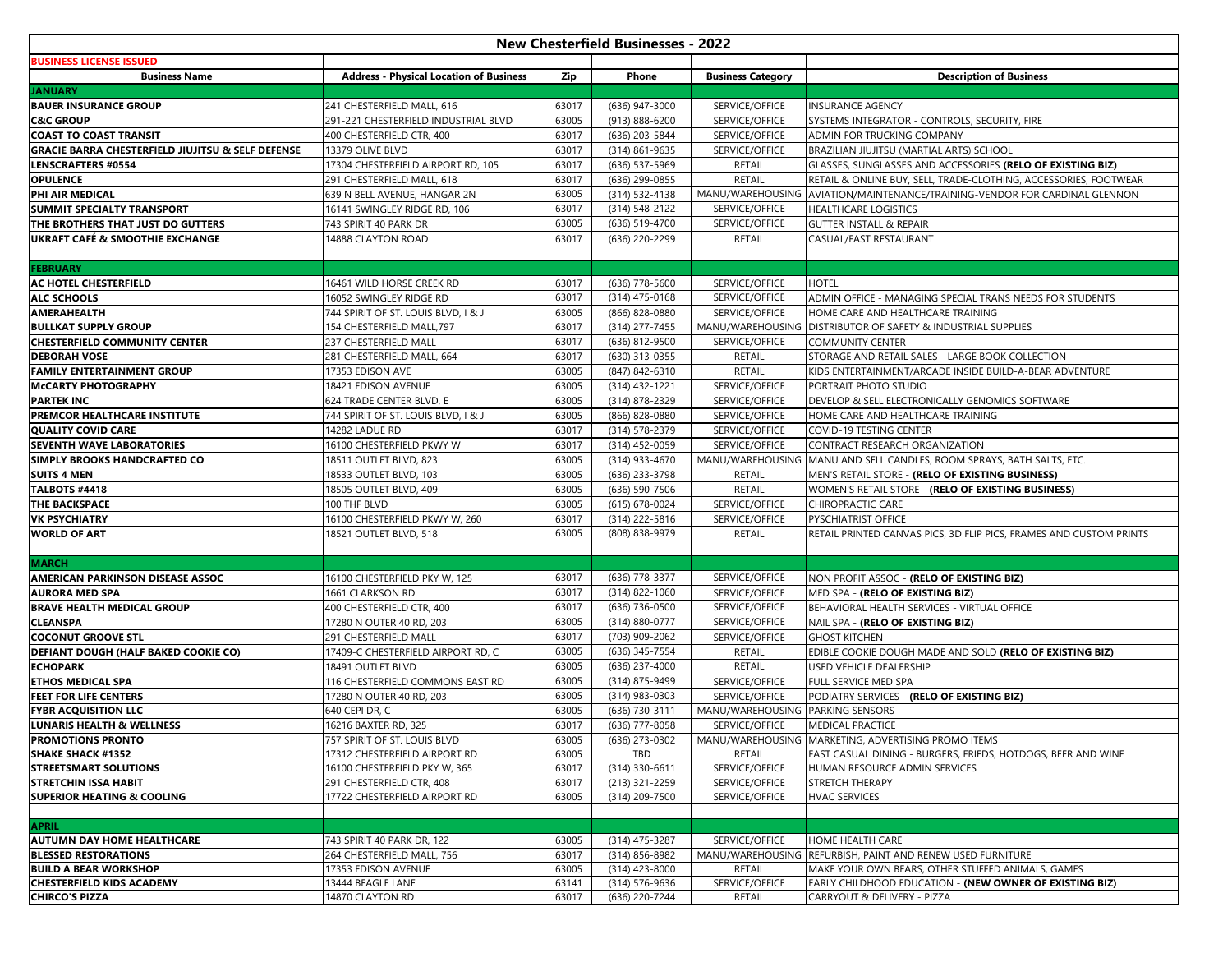| <b>New Chesterfield Businesses - 2022</b>                        |                                                            |                |                                  |                                  |                                                                                |  |  |  |  |
|------------------------------------------------------------------|------------------------------------------------------------|----------------|----------------------------------|----------------------------------|--------------------------------------------------------------------------------|--|--|--|--|
| <b>BUSINESS LICENSE ISSUED</b>                                   |                                                            |                |                                  |                                  |                                                                                |  |  |  |  |
| <b>Business Name</b>                                             | <b>Address - Physical Location of Business</b>             | Zip            | Phone                            | <b>Business Category</b>         | <b>Description of Business</b>                                                 |  |  |  |  |
| <b>JANUARY</b>                                                   |                                                            |                |                                  |                                  |                                                                                |  |  |  |  |
| <b>BAUER INSURANCE GROUP</b>                                     | 241 CHESTERFIELD MALL, 616                                 | 63017          | (636) 947-3000                   | SERVICE/OFFICE                   | <b>INSURANCE AGENCY</b>                                                        |  |  |  |  |
| <b>C&amp;C GROUP</b>                                             | 291-221 CHESTERFIELD INDUSTRIAL BLVD                       | 63005          | (913) 888-6200                   | SERVICE/OFFICE                   | SYSTEMS INTEGRATOR - CONTROLS, SECURITY, FIRE                                  |  |  |  |  |
| <b>COAST TO COAST TRANSIT</b>                                    | 400 CHESTERFIELD CTR, 400                                  | 63017          | (636) 203-5844                   | SERVICE/OFFICE                   | ADMIN FOR TRUCKING COMPANY                                                     |  |  |  |  |
| <b>GRACIE BARRA CHESTERFIELD JIUJITSU &amp; SELF DEFENSE</b>     | 13379 OLIVE BLVD                                           | 63017          | (314) 861-9635                   | SERVICE/OFFICE                   | BRAZILIAN JIUJITSU (MARTIAL ARTS) SCHOOL                                       |  |  |  |  |
| <b>LENSCRAFTERS #0554</b>                                        | 17304 CHESTERFIELD AIRPORT RD, 105                         | 63017          | (636) 537-5969                   | RETAIL                           | GLASSES, SUNGLASSES AND ACCESSORIES (RELO OF EXISTING BIZ)                     |  |  |  |  |
| <b>OPULENCE</b>                                                  | 291 CHESTERFIELD MALL, 618                                 | 63017          | (636) 299-0855                   | <b>RETAIL</b>                    | RETAIL & ONLINE BUY, SELL, TRADE-CLOTHING, ACCESSORIES, FOOTWEAR               |  |  |  |  |
| PHI AIR MEDICAL                                                  | 639 N BELL AVENUE, HANGAR 2N                               | 63005          | (314) 532-4138                   | MANU/WAREHOUSING                 | AVIATION/MAINTENANCE/TRAINING-VENDOR FOR CARDINAL GLENNON                      |  |  |  |  |
| SUMMIT SPECIALTY TRANSPORT                                       | 16141 SWINGLEY RIDGE RD, 106                               | 63017          | (314) 548-2122                   | SERVICE/OFFICE                   | <b>HEALTHCARE LOGISTICS</b>                                                    |  |  |  |  |
| THE BROTHERS THAT JUST DO GUTTERS                                | 743 SPIRIT 40 PARK DR                                      | 63005          | (636) 519-4700                   | SERVICE/OFFICE                   | <b>GUTTER INSTALL &amp; REPAIR</b>                                             |  |  |  |  |
| <b>UKRAFT CAFÉ &amp; SMOOTHIE EXCHANGE</b>                       | 14888 CLAYTON ROAD                                         | 63017          | (636) 220-2299                   | RETAIL                           | CASUAL/FAST RESTAURANT                                                         |  |  |  |  |
|                                                                  |                                                            |                |                                  |                                  |                                                                                |  |  |  |  |
| <b>FEBRUARY</b>                                                  |                                                            |                |                                  |                                  |                                                                                |  |  |  |  |
| AC HOTEL CHESTERFIELD                                            | 16461 WILD HORSE CREEK RD                                  | 63017          | (636) 778-5600                   | SERVICE/OFFICE                   | <b>HOTEL</b>                                                                   |  |  |  |  |
| <b>ALC SCHOOLS</b>                                               | 16052 SWINGLEY RIDGE RD                                    | 63017          | (314) 475-0168                   | SERVICE/OFFICE                   | ADMIN OFFICE - MANAGING SPECIAL TRANS NEEDS FOR STUDENTS                       |  |  |  |  |
| <b>AMERAHEALTH</b>                                               | 744 SPIRIT OF ST. LOUIS BLVD, I & J                        | 63005          | (866) 828-0880                   | SERVICE/OFFICE                   | HOME CARE AND HEALTHCARE TRAINING                                              |  |  |  |  |
| <b>BULLKAT SUPPLY GROUP</b>                                      | 154 CHESTERFIELD MALL, 797                                 | 63017          | (314) 277-7455                   | MANU/WAREHOUSING                 | DISTRIBUTOR OF SAFETY & INDUSTRIAL SUPPLIES                                    |  |  |  |  |
| <b>CHESTERFIELD COMMUNITY CENTER</b>                             | 237 CHESTERFIELD MALL                                      | 63017          | (636) 812-9500                   | SERVICE/OFFICE                   | <b>COMMUNITY CENTER</b>                                                        |  |  |  |  |
| <b>DEBORAH VOSE</b>                                              | 281 CHESTERFIELD MALL, 664                                 | 63017          | (630) 313-0355                   | RETAIL                           | STORAGE AND RETAIL SALES - LARGE BOOK COLLECTION                               |  |  |  |  |
| <b>FAMILY ENTERTAINMENT GROUP</b>                                | 17353 EDISON AVE                                           | 63005          | (847) 842-6310                   | RETAIL                           | KIDS ENTERTAINMENT/ARCADE INSIDE BUILD-A-BEAR ADVENTURE                        |  |  |  |  |
| <b>McCARTY PHOTOGRAPHY</b>                                       | 18421 EDISON AVENUE                                        | 63005          | (314) 432-1221                   | SERVICE/OFFICE                   | PORTRAIT PHOTO STUDIO                                                          |  |  |  |  |
| <b>PARTEK INC</b>                                                | 624 TRADE CENTER BLVD, E                                   | 63005          | (314) 878-2329                   | SERVICE/OFFICE                   | DEVELOP & SELL ELECTRONICALLY GENOMICS SOFTWARE                                |  |  |  |  |
| PREMCOR HEALTHCARE INSTITUTE                                     | 744 SPIRIT OF ST. LOUIS BLVD, I & J                        | 63005          | (866) 828-0880                   | SERVICE/OFFICE                   | HOME CARE AND HEALTHCARE TRAINING                                              |  |  |  |  |
| <b>QUALITY COVID CARE</b>                                        | 14282 LADUE RD                                             | 63017          | (314) 578-2379                   | SERVICE/OFFICE                   | COVID-19 TESTING CENTER                                                        |  |  |  |  |
| SEVENTH WAVE LABORATORIES                                        | 16100 CHESTERFIELD PKWY W                                  | 63017          | (314) 452-0059                   | SERVICE/OFFICE                   | CONTRACT RESEARCH ORGANIZATION                                                 |  |  |  |  |
| <b>SIMPLY BROOKS HANDCRAFTED CO</b>                              | 18511 OUTLET BLVD, 823                                     | 63005          | (314) 933-4670                   | MANU/WAREHOUSING                 | MANU AND SELL CANDLES, ROOM SPRAYS, BATH SALTS, ETC.                           |  |  |  |  |
| <b>SUITS 4 MEN</b>                                               | 18533 OUTLET BLVD, 103                                     | 63005          | (636) 233-3798                   | RETAIL                           | MEN'S RETAIL STORE - ( <b>RELO OF EXISTING BUSINESS)</b>                       |  |  |  |  |
| <b>TALBOTS #4418</b>                                             | 18505 OUTLET BLVD, 409                                     | 63005          | (636) 590-7506                   | <b>RETAIL</b>                    | WOMEN'S RETAIL STORE - (RELO OF EXISTING BUSINESS)                             |  |  |  |  |
| <b>THE BACKSPACE</b>                                             | 100 THF BLVD                                               | 63005          | (615) 678-0024                   | SERVICE/OFFICE                   | <b>CHIROPRACTIC CARE</b>                                                       |  |  |  |  |
| <b>VK PSYCHIATRY</b>                                             | 16100 CHESTERFIELD PKWY W, 260                             | 63017          | (314) 222-5816                   | SERVICE/OFFICE                   | PYSCHIATRIST OFFICE                                                            |  |  |  |  |
| <b>WORLD OF ART</b>                                              | 18521 OUTLET BLVD, 518                                     | 63005          | (808) 838-9979                   | RETAIL                           | RETAIL PRINTED CANVAS PICS, 3D FLIP PICS, FRAMES AND CUSTOM PRINTS             |  |  |  |  |
|                                                                  |                                                            |                |                                  |                                  |                                                                                |  |  |  |  |
| <b>MARCH</b>                                                     |                                                            |                |                                  |                                  |                                                                                |  |  |  |  |
| AMERICAN PARKINSON DISEASE ASSOC                                 | 16100 CHESTERFIELD PKY W, 125                              | 63017          | (636) 778-3377                   | SERVICE/OFFICE                   | NON PROFIT ASSOC - (RELO OF EXISTING BIZ)                                      |  |  |  |  |
| <b>AURORA MED SPA</b>                                            | 1661 CLARKSON RD                                           | 63017          | (314) 822-1060                   | SERVICE/OFFICE                   | MED SPA - (RELO OF EXISTING BIZ)                                               |  |  |  |  |
| <b>BRAVE HEALTH MEDICAL GROUP</b>                                | 400 CHESTERFIELD CTR, 400                                  | 63017          | (636) 736-0500                   | SERVICE/OFFICE                   | BEHAVIORAL HEALTH SERVICES - VIRTUAL OFFICE                                    |  |  |  |  |
| <b>CLEANSPA</b>                                                  | 17280 N OUTER 40 RD, 203                                   | 63005          | (314) 880-0777                   | SERVICE/OFFICE                   | NAIL SPA - (RELO OF EXISTING BIZ)                                              |  |  |  |  |
| <b>COCONUT GROOVE STL</b>                                        | 291 CHESTERFIELD MALL                                      | 63017          | (703) 909-2062                   | SERVICE/OFFICE                   | <b>GHOST KITCHEN</b>                                                           |  |  |  |  |
| DEFIANT DOUGH (HALF BAKED COOKIE CO)                             | 17409-C CHESTERFIELD AIRPORT RD, C                         | 63005          | (636) 345-7554                   | <b>RETAIL</b>                    | EDIBLE COOKIE DOUGH MADE AND SOLD (RELO OF EXISTING BIZ)                       |  |  |  |  |
| <b>ECHOPARK</b>                                                  | 18491 OUTLET BLVD                                          | 63005          | (636) 237-4000                   | RETAIL                           | USED VEHICLE DEALERSHIP                                                        |  |  |  |  |
| <b>ETHOS MEDICAL SPA</b>                                         | 116 CHESTERFIELD COMMONS EAST RD                           | 63005          | (314) 875-9499                   | SERVICE/OFFICE                   | FULL SERVICE MED SPA                                                           |  |  |  |  |
| FEET FOR LIFE CENTERS                                            | 17280 N OUTER 40 RD, 203                                   | 63005          | (314) 983-0303                   | SERVICE/OFFICE                   | PODIATRY SERVICES - (RELO OF EXISTING BIZ)                                     |  |  |  |  |
| <b>FYBR ACQUISITION LLC</b>                                      | 640 CEPI DR, C                                             | 63005          | (636) 730-3111                   | MANU/WAREHOUSING                 | <b>PARKING SENSORS</b>                                                         |  |  |  |  |
| <b>LUNARIS HEALTH &amp; WELLNESS</b>                             | 16216 BAXTER RD, 325                                       | 63017          | (636) 777-8058                   | SERVICE/OFFICE                   | <b>MEDICAL PRACTICE</b>                                                        |  |  |  |  |
| <b>PROMOTIONS PRONTO</b>                                         | 757 SPIRIT OF ST. LOUIS BLVD                               | 63005          | (636) 273-0302                   |                                  | MANU/WAREHOUSING MARKETING, ADVERTISING PROMO ITEMS                            |  |  |  |  |
| <b>SHAKE SHACK #1352</b>                                         | 17312 CHESTERFIELD AIRPORT RD                              | 63005          | TBD                              | RETAIL                           | FAST CASUAL DINING - BURGERS, FRIEDS, HOTDOGS, BEER AND WINE                   |  |  |  |  |
| <b>STREETSMART SOLUTIONS</b>                                     | 16100 CHESTERFIELD PKY W, 365                              | 63017          | (314) 330-6611                   | SERVICE/OFFICE                   | HUMAN RESOURCE ADMIN SERVICES                                                  |  |  |  |  |
| <b>STRETCHIN ISSA HABIT</b>                                      | 291 CHESTERFIELD CTR, 408<br>17722 CHESTERFIELD AIRPORT RD | 63017          | (213) 321-2259                   | SERVICE/OFFICE<br>SERVICE/OFFICE | STRETCH THERAPY                                                                |  |  |  |  |
| <b>SUPERIOR HEATING &amp; COOLING</b>                            |                                                            | 63005          | (314) 209-7500                   |                                  | <b>HVAC SERVICES</b>                                                           |  |  |  |  |
|                                                                  |                                                            |                |                                  |                                  |                                                                                |  |  |  |  |
| <b>APRIL</b>                                                     | 743 SPIRIT 40 PARK DR. 122                                 |                |                                  |                                  |                                                                                |  |  |  |  |
| <b>AUTUMN DAY HOME HEALTHCARE</b><br><b>BLESSED RESTORATIONS</b> | 264 CHESTERFIELD MALL, 756                                 | 63005<br>63017 | (314) 475-3287<br>(314) 856-8982 | SERVICE/OFFICE                   | HOME HEALTH CARE<br>MANU/WAREHOUSING REFURBISH, PAINT AND RENEW USED FURNITURE |  |  |  |  |
| <b>BUILD A BEAR WORKSHOP</b>                                     | 17353 EDISON AVENUE                                        | 63005          | (314) 423-8000                   | <b>RETAIL</b>                    | MAKE YOUR OWN BEARS, OTHER STUFFED ANIMALS, GAMES                              |  |  |  |  |
| <b>CHESTERFIELD KIDS ACADEMY</b>                                 | 13444 BEAGLE LANE                                          | 63141          | (314) 576-9636                   | SERVICE/OFFICE                   | EARLY CHILDHOOD EDUCATION - (NEW OWNER OF EXISTING BIZ)                        |  |  |  |  |
| <b>CHIRCO'S PIZZA</b>                                            | 14870 CLAYTON RD                                           | 63017          | (636) 220-7244                   | <b>RETAIL</b>                    | CARRYOUT & DELIVERY - PIZZA                                                    |  |  |  |  |
|                                                                  |                                                            |                |                                  |                                  |                                                                                |  |  |  |  |